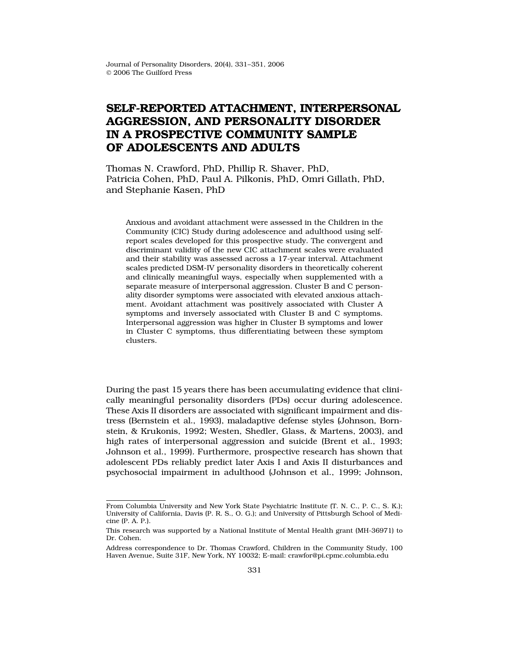# **SELF-REPORTED ATTACHMENT, INTERPERSONAL AGGRESSION, AND PERSONALITY DISORDER IN A PROSPECTIVE COMMUNITY SAMPLE OF ADOLESCENTS AND ADULTS**

Thomas N. Crawford, PhD, Phillip R. Shaver, PhD, Patricia Cohen, PhD, Paul A. Pilkonis, PhD, Omri Gillath, PhD, and Stephanie Kasen, PhD

Anxious and avoidant attachment were assessed in the Children in the Community (CIC) Study during adolescence and adulthood using selfreport scales developed for this prospective study. The convergent and discriminant validity of the new CIC attachment scales were evaluated and their stability was assessed across a 17-year interval. Attachment scales predicted DSM-IV personality disorders in theoretically coherent and clinically meaningful ways, especially when supplemented with a separate measure of interpersonal aggression. Cluster B and C personality disorder symptoms were associated with elevated anxious attachment. Avoidant attachment was positively associated with Cluster A symptoms and inversely associated with Cluster B and C symptoms. Interpersonal aggression was higher in Cluster B symptoms and lower in Cluster C symptoms, thus differentiating between these symptom clusters.

During the past 15 years there has been accumulating evidence that clinically meaningful personality disorders (PDs) occur during adolescence. These Axis II disorders are associated with significant impairment and distress (Bernstein et al., 1993), maladaptive defense styles (Johnson, Bornstein, & Krukonis, 1992; Westen, Shedler, Glass, & Martens, 2003), and high rates of interpersonal aggression and suicide (Brent et al., 1993; Johnson et al., 1999). Furthermore, prospective research has shown that adolescent PDs reliably predict later Axis I and Axis II disturbances and psychosocial impairment in adulthood (Johnson et al., 1999; Johnson,

From Columbia University and New York State Psychiatric Institute (T. N. C., P. C., S. K.); University of California, Davis (P. R. S., O. G.); and University of Pittsburgh School of Medicine (P. A. P.).

This research was supported by a National Institute of Mental Health grant (MH-36971) to Dr. Cohen.

Address correspondence to Dr. Thomas Crawford, Children in the Community Study, 100 Haven Avenue, Suite 31F, New York, NY 10032; E-mail: crawfor@pi.cpmc.columbia.edu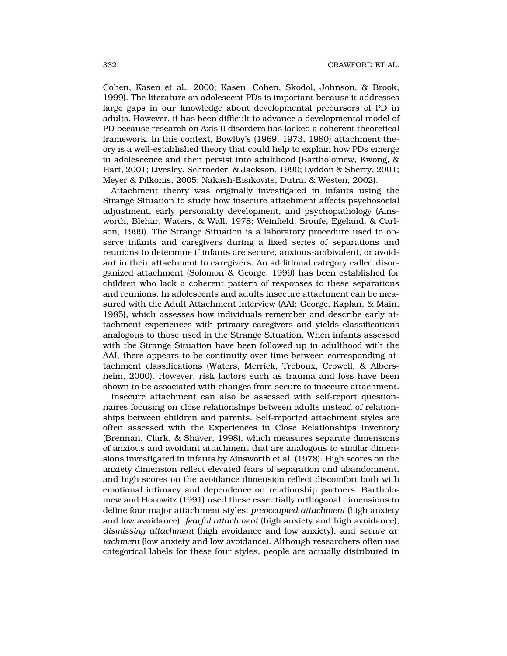Cohen, Kasen et al., 2000; Kasen, Cohen, Skodol, Johnson, & Brook, 1999). The literature on adolescent PDs is important because it addresses large gaps in our knowledge about developmental precursors of PD in adults. However, it has been difficult to advance a developmental model of PD because research on Axis II disorders has lacked a coherent theoretical framework. In this context, Bowlby's (1969, 1973, 1980) attachment theory is a well-established theory that could help to explain how PDs emerge in adolescence and then persist into adulthood (Bartholomew, Kwong, & Hart, 2001; Livesley, Schroeder, & Jackson, 1990; Lyddon & Sherry, 2001; Meyer & Pilkonis, 2005; Nakash-Eisikovits, Dutra, & Westen, 2002).

Attachment theory was originally investigated in infants using the Strange Situation to study how insecure attachment affects psychosocial adjustment, early personality development, and psychopathology (Ainsworth, Blehar, Waters, & Wall, 1978; Weinfield, Sroufe, Egeland, & Carlson, 1999). The Strange Situation is a laboratory procedure used to observe infants and caregivers during a fixed series of separations and reunions to determine if infants are secure, anxious-ambivalent, or avoidant in their attachment to caregivers. An additional category called disorganized attachment (Solomon & George, 1999) has been established for children who lack a coherent pattern of responses to these separations and reunions. In adolescents and adults insecure attachment can be measured with the Adult Attachment Interview (AAI; George, Kaplan, & Main, 1985), which assesses how individuals remember and describe early attachment experiences with primary caregivers and yields classifications analogous to those used in the Strange Situation. When infants assessed with the Strange Situation have been followed up in adulthood with the AAI, there appears to be continuity over time between corresponding attachment classifications (Waters, Merrick, Treboux, Crowell, & Albersheim, 2000). However, risk factors such as trauma and loss have been shown to be associated with changes from secure to insecure attachment.

Insecure attachment can also be assessed with self-report questionnaires focusing on close relationships between adults instead of relationships between children and parents. Self-reported attachment styles are often assessed with the Experiences in Close Relationships Inventory (Brennan, Clark, & Shaver, 1998), which measures separate dimensions of anxious and avoidant attachment that are analogous to similar dimensions investigated in infants by Ainsworth et al. (1978). High scores on the anxiety dimension reflect elevated fears of separation and abandonment, and high scores on the avoidance dimension reflect discomfort both with emotional intimacy and dependence on relationship partners. Bartholomew and Horowitz (1991) used these essentially orthogonal dimensions to define four major attachment styles: *preoccupied attachment* (high anxiety and low avoidance), *fearful attachment* (high anxiety and high avoidance), *dismissing attachment* (high avoidance and low anxiety), and *secure attachment* (low anxiety and low avoidance). Although researchers often use categorical labels for these four styles, people are actually distributed in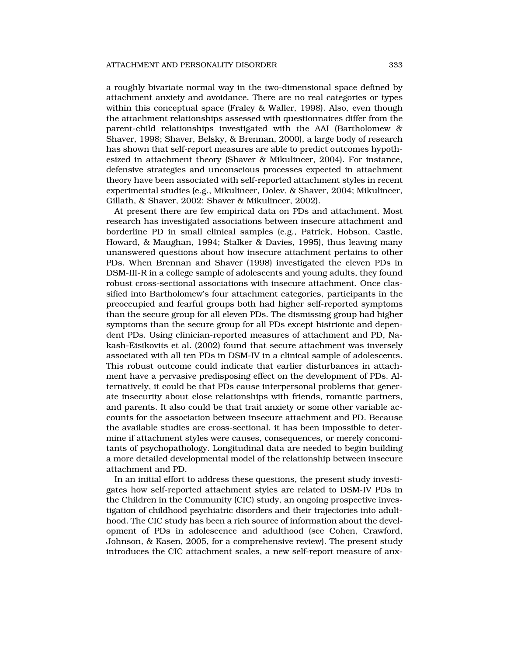a roughly bivariate normal way in the two-dimensional space defined by attachment anxiety and avoidance. There are no real categories or types within this conceptual space (Fraley & Waller, 1998). Also, even though the attachment relationships assessed with questionnaires differ from the parent-child relationships investigated with the AAI (Bartholomew & Shaver, 1998; Shaver, Belsky, & Brennan, 2000), a large body of research has shown that self-report measures are able to predict outcomes hypothesized in attachment theory (Shaver & Mikulincer, 2004). For instance, defensive strategies and unconscious processes expected in attachment theory have been associated with self-reported attachment styles in recent experimental studies (e.g., Mikulincer, Dolev, & Shaver, 2004; Mikulincer, Gillath, & Shaver, 2002; Shaver & Mikulincer, 2002).

At present there are few empirical data on PDs and attachment. Most research has investigated associations between insecure attachment and borderline PD in small clinical samples (e.g., Patrick, Hobson, Castle, Howard, & Maughan, 1994; Stalker & Davies, 1995), thus leaving many unanswered questions about how insecure attachment pertains to other PDs. When Brennan and Shaver (1998) investigated the eleven PDs in DSM-III-R in a college sample of adolescents and young adults, they found robust cross-sectional associations with insecure attachment. Once classified into Bartholomew's four attachment categories, participants in the preoccupied and fearful groups both had higher self-reported symptoms than the secure group for all eleven PDs. The dismissing group had higher symptoms than the secure group for all PDs except histrionic and dependent PDs. Using clinician-reported measures of attachment and PD, Nakash-Eisikovits et al. (2002) found that secure attachment was inversely associated with all ten PDs in DSM-IV in a clinical sample of adolescents. This robust outcome could indicate that earlier disturbances in attachment have a pervasive predisposing effect on the development of PDs. Alternatively, it could be that PDs cause interpersonal problems that generate insecurity about close relationships with friends, romantic partners, and parents. It also could be that trait anxiety or some other variable accounts for the association between insecure attachment and PD. Because the available studies are cross-sectional, it has been impossible to determine if attachment styles were causes, consequences, or merely concomitants of psychopathology. Longitudinal data are needed to begin building a more detailed developmental model of the relationship between insecure attachment and PD.

In an initial effort to address these questions, the present study investigates how self-reported attachment styles are related to DSM-IV PDs in the Children in the Community (CIC) study, an ongoing prospective investigation of childhood psychiatric disorders and their trajectories into adulthood. The CIC study has been a rich source of information about the development of PDs in adolescence and adulthood (see Cohen, Crawford, Johnson, & Kasen, 2005, for a comprehensive review). The present study introduces the CIC attachment scales, a new self-report measure of anx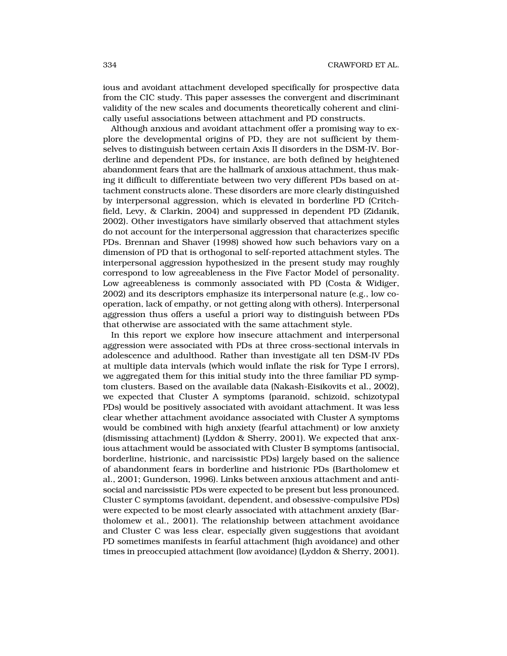ious and avoidant attachment developed specifically for prospective data from the CIC study. This paper assesses the convergent and discriminant validity of the new scales and documents theoretically coherent and clinically useful associations between attachment and PD constructs.

Although anxious and avoidant attachment offer a promising way to explore the developmental origins of PD, they are not sufficient by themselves to distinguish between certain Axis II disorders in the DSM-IV. Borderline and dependent PDs, for instance, are both defined by heightened abandonment fears that are the hallmark of anxious attachment, thus making it difficult to differentiate between two very different PDs based on attachment constructs alone. These disorders are more clearly distinguished by interpersonal aggression, which is elevated in borderline PD (Critchfield, Levy, & Clarkin, 2004) and suppressed in dependent PD (Zidanik, 2002). Other investigators have similarly observed that attachment styles do not account for the interpersonal aggression that characterizes specific PDs. Brennan and Shaver (1998) showed how such behaviors vary on a dimension of PD that is orthogonal to self-reported attachment styles. The interpersonal aggression hypothesized in the present study may roughly correspond to low agreeableness in the Five Factor Model of personality. Low agreeableness is commonly associated with PD (Costa & Widiger, 2002) and its descriptors emphasize its interpersonal nature (e.g., low cooperation, lack of empathy, or not getting along with others). Interpersonal aggression thus offers a useful a priori way to distinguish between PDs that otherwise are associated with the same attachment style.

In this report we explore how insecure attachment and interpersonal aggression were associated with PDs at three cross-sectional intervals in adolescence and adulthood. Rather than investigate all ten DSM-IV PDs at multiple data intervals (which would inflate the risk for Type I errors), we aggregated them for this initial study into the three familiar PD symptom clusters. Based on the available data (Nakash-Eisikovits et al., 2002), we expected that Cluster A symptoms (paranoid, schizoid, schizotypal PDs) would be positively associated with avoidant attachment. It was less clear whether attachment avoidance associated with Cluster A symptoms would be combined with high anxiety (fearful attachment) or low anxiety (dismissing attachment) (Lyddon & Sherry, 2001). We expected that anxious attachment would be associated with Cluster B symptoms (antisocial, borderline, histrionic, and narcissistic PDs) largely based on the salience of abandonment fears in borderline and histrionic PDs (Bartholomew et al., 2001; Gunderson, 1996). Links between anxious attachment and antisocial and narcissistic PDs were expected to be present but less pronounced. Cluster C symptoms (avoidant, dependent, and obsessive-compulsive PDs) were expected to be most clearly associated with attachment anxiety (Bartholomew et al., 2001). The relationship between attachment avoidance and Cluster C was less clear, especially given suggestions that avoidant PD sometimes manifests in fearful attachment (high avoidance) and other times in preoccupied attachment (low avoidance) (Lyddon & Sherry, 2001).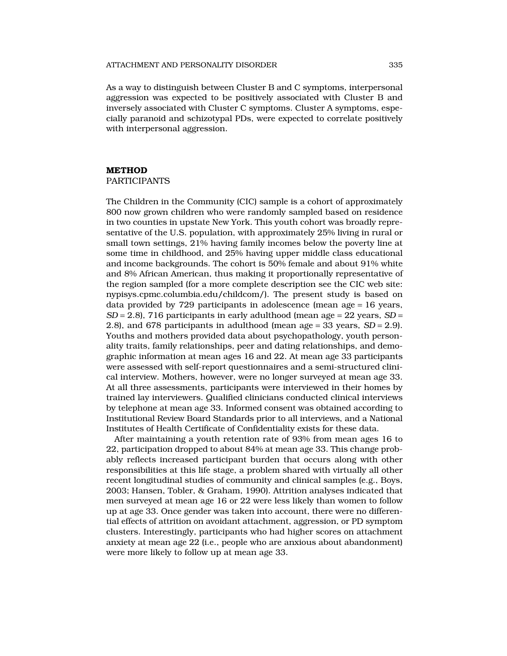As a way to distinguish between Cluster B and C symptoms, interpersonal aggression was expected to be positively associated with Cluster B and inversely associated with Cluster C symptoms. Cluster A symptoms, especially paranoid and schizotypal PDs, were expected to correlate positively with interpersonal aggression.

#### **METHOD**

#### PARTICIPANTS

The Children in the Community (CIC) sample is a cohort of approximately 800 now grown children who were randomly sampled based on residence in two counties in upstate New York. This youth cohort was broadly representative of the U.S. population, with approximately 25% living in rural or small town settings, 21% having family incomes below the poverty line at some time in childhood, and 25% having upper middle class educational and income backgrounds. The cohort is 50% female and about 91% white and 8% African American, thus making it proportionally representative of the region sampled (for a more complete description see the CIC web site: nypisys.cpmc.columbia.edu/childcom/). The present study is based on data provided by 729 participants in adolescence (mean age = 16 years,  $SD = 2.8$ ), 716 participants in early adulthood (mean age  $= 22$  years,  $SD =$ 2.8), and 678 participants in adulthood (mean age  $=$  33 years, *SD*  $=$  2.9). Youths and mothers provided data about psychopathology, youth personality traits, family relationships, peer and dating relationships, and demographic information at mean ages 16 and 22. At mean age 33 participants were assessed with self-report questionnaires and a semi-structured clinical interview. Mothers, however, were no longer surveyed at mean age 33. At all three assessments, participants were interviewed in their homes by trained lay interviewers. Qualified clinicians conducted clinical interviews by telephone at mean age 33. Informed consent was obtained according to Institutional Review Board Standards prior to all interviews, and a National Institutes of Health Certificate of Confidentiality exists for these data.

After maintaining a youth retention rate of 93% from mean ages 16 to 22, participation dropped to about 84% at mean age 33. This change probably reflects increased participant burden that occurs along with other responsibilities at this life stage, a problem shared with virtually all other recent longitudinal studies of community and clinical samples (e.g., Boys, 2003; Hansen, Tobler, & Graham, 1990). Attrition analyses indicated that men surveyed at mean age 16 or 22 were less likely than women to follow up at age 33. Once gender was taken into account, there were no differential effects of attrition on avoidant attachment, aggression, or PD symptom clusters. Interestingly, participants who had higher scores on attachment anxiety at mean age 22 (i.e., people who are anxious about abandonment) were more likely to follow up at mean age 33.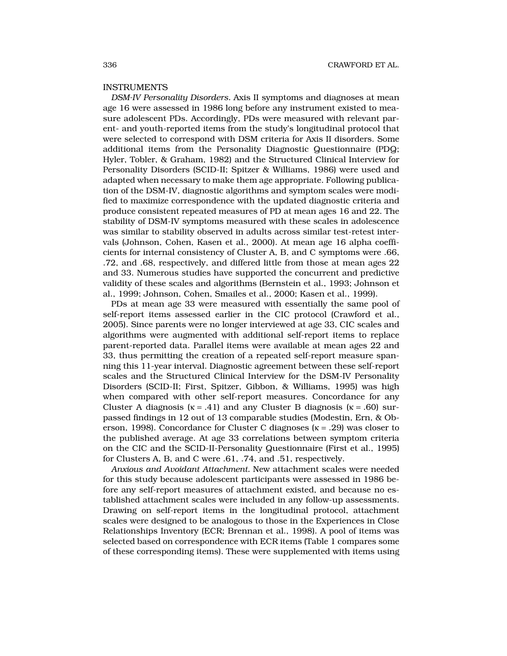## INSTRUMENTS

*DSM-IV Personality Disorders.* Axis II symptoms and diagnoses at mean age 16 were assessed in 1986 long before any instrument existed to measure adolescent PDs. Accordingly, PDs were measured with relevant parent- and youth-reported items from the study's longitudinal protocol that were selected to correspond with DSM criteria for Axis II disorders. Some additional items from the Personality Diagnostic Questionnaire (PDQ; Hyler, Tobler, & Graham, 1982) and the Structured Clinical Interview for Personality Disorders (SCID-II; Spitzer & Williams, 1986) were used and adapted when necessary to make them age appropriate. Following publication of the DSM-IV, diagnostic algorithms and symptom scales were modified to maximize correspondence with the updated diagnostic criteria and produce consistent repeated measures of PD at mean ages 16 and 22. The stability of DSM-IV symptoms measured with these scales in adolescence was similar to stability observed in adults across similar test-retest intervals (Johnson, Cohen, Kasen et al., 2000). At mean age 16 alpha coefficients for internal consistency of Cluster A, B, and C symptoms were .66, .72, and .68, respectively, and differed little from those at mean ages 22 and 33. Numerous studies have supported the concurrent and predictive validity of these scales and algorithms (Bernstein et al., 1993; Johnson et al., 1999; Johnson, Cohen, Smailes et al., 2000; Kasen et al., 1999).

PDs at mean age 33 were measured with essentially the same pool of self-report items assessed earlier in the CIC protocol (Crawford et al., 2005). Since parents were no longer interviewed at age 33, CIC scales and algorithms were augmented with additional self-report items to replace parent-reported data. Parallel items were available at mean ages 22 and 33, thus permitting the creation of a repeated self-report measure spanning this 11-year interval. Diagnostic agreement between these self-report scales and the Structured Clinical Interview for the DSM-IV Personality Disorders (SCID-II; First, Spitzer, Gibbon, & Williams, 1995) was high when compared with other self-report measures. Concordance for any Cluster A diagnosis ( $\kappa = .41$ ) and any Cluster B diagnosis ( $\kappa = .60$ ) surpassed findings in 12 out of 13 comparable studies (Modestin, Ern, & Oberson, 1998). Concordance for Cluster C diagnoses ( $\kappa$  = .29) was closer to the published average. At age 33 correlations between symptom criteria on the CIC and the SCID-II-Personality Questionnaire (First et al., 1995) for Clusters A, B, and C were .61, .74, and .51, respectively.

*Anxious and Avoidant Attachment.* New attachment scales were needed for this study because adolescent participants were assessed in 1986 before any self-report measures of attachment existed, and because no established attachment scales were included in any follow-up assessments. Drawing on self-report items in the longitudinal protocol, attachment scales were designed to be analogous to those in the Experiences in Close Relationships Inventory (ECR; Brennan et al., 1998). A pool of items was selected based on correspondence with ECR items (Table 1 compares some of these corresponding items). These were supplemented with items using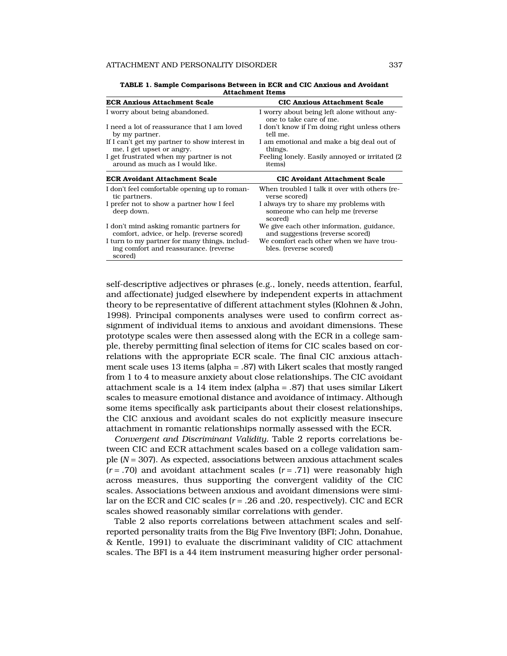| <b>ECR Anxious Attachment Scale</b>                                                               | <b>CIC Anxious Attachment Scale</b>                                                   |
|---------------------------------------------------------------------------------------------------|---------------------------------------------------------------------------------------|
| I worry about being abandoned.                                                                    | I worry about being left alone without any-<br>one to take care of me.                |
| I need a lot of reassurance that I am loved<br>by my partner.                                     | I don't know if I'm doing right unless others<br>tell me.                             |
| If I can't get my partner to show interest in<br>me, I get upset or angry.                        | I am emotional and make a big deal out of<br>things.                                  |
| I get frustrated when my partner is not<br>around as much as I would like.                        | Feeling lonely. Easily annoyed or irritated (2)<br><i>items</i>                       |
| <b>ECR Avoidant Attachment Scale</b>                                                              | <b>CIC Avoidant Attachment Scale</b>                                                  |
| I don't feel comfortable opening up to roman-<br>tic partners.                                    | When troubled I talk it over with others (re-<br>verse scored)                        |
| I prefer not to show a partner how I feel<br>deep down.                                           | I always try to share my problems with<br>someone who can help me (reverse<br>scored) |
| I don't mind asking romantic partners for<br>comfort, advice, or help. (reverse scored)           | We give each other information, guidance,<br>and suggestions (reverse scored)         |
| I turn to my partner for many things, includ-<br>ing comfort and reassurance. (reverse<br>scored) | We comfort each other when we have trou-<br>bles. (reverse scored)                    |

**TABLE 1. Sample Comparisons Between in ECR and CIC Anxious and Avoidant Attachment Items**

self-descriptive adjectives or phrases (e.g., lonely, needs attention, fearful, and affectionate) judged elsewhere by independent experts in attachment theory to be representative of different attachment styles (Klohnen & John, 1998). Principal components analyses were used to confirm correct assignment of individual items to anxious and avoidant dimensions. These prototype scales were then assessed along with the ECR in a college sample, thereby permitting final selection of items for CIC scales based on correlations with the appropriate ECR scale. The final CIC anxious attachment scale uses 13 items (alpha = .87) with Likert scales that mostly ranged from 1 to 4 to measure anxiety about close relationships. The CIC avoidant attachment scale is a 14 item index (alpha = .87) that uses similar Likert scales to measure emotional distance and avoidance of intimacy. Although some items specifically ask participants about their closest relationships, the CIC anxious and avoidant scales do not explicitly measure insecure attachment in romantic relationships normally assessed with the ECR.

*Convergent and Discriminant Validity.* Table 2 reports correlations between CIC and ECR attachment scales based on a college validation sample (*N* = 307). As expected, associations between anxious attachment scales  $(r=.70)$  and avoidant attachment scales  $(r=.71)$  were reasonably high across measures, thus supporting the convergent validity of the CIC scales. Associations between anxious and avoidant dimensions were similar on the ECR and CIC scales (*r* = .26 and .20, respectively). CIC and ECR scales showed reasonably similar correlations with gender.

Table 2 also reports correlations between attachment scales and selfreported personality traits from the Big Five Inventory (BFI; John, Donahue, & Kentle, 1991) to evaluate the discriminant validity of CIC attachment scales. The BFI is a 44 item instrument measuring higher order personal-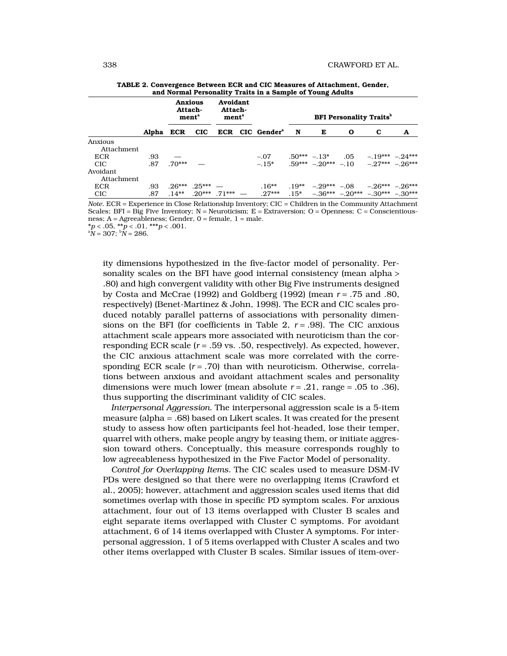|                        | Alpha ECR |          |                    | <b>Anxious</b><br>Attach-<br>ment <sup>a</sup> | Avoidant<br>Attach-<br>ment <sup>a</sup>                                           |             |   |              |                                               | <b>BFI Personality Traits</b> <sup>b</sup> |  |
|------------------------|-----------|----------|--------------------|------------------------------------------------|------------------------------------------------------------------------------------|-------------|---|--------------|-----------------------------------------------|--------------------------------------------|--|
|                        |           |          |                    |                                                | CIC ECR CIC Gender <sup>a</sup>                                                    | $\mathbf N$ | Е | $\mathbf{o}$ | C                                             | A                                          |  |
| Anxious<br>Attachment  |           |          |                    |                                                |                                                                                    |             |   |              |                                               |                                            |  |
| <b>ECR</b>             | .93       |          |                    |                                                | $-.07$                                                                             |             |   |              | $.50***$ $-.13*$ $.05$ $-.19***$ $-.24***$    |                                            |  |
| CIC.                   | .87       | $.70***$ |                    |                                                | $-.15*$                                                                            |             |   |              | $.59***$ $-.20***$ $-.10$ $-.27***$ $-.26***$ |                                            |  |
| Avoidant<br>Attachment |           |          |                    |                                                |                                                                                    |             |   |              |                                               |                                            |  |
| <b>ECR</b>             | .93       |          | $.26***$ 25*** $-$ |                                                | $.16**$                                                                            |             |   |              | $.19***$ $-.29***$ $-.08$ $-.26***$ $-.26***$ |                                            |  |
| <b>CIC</b>             | .87       |          |                    |                                                | $.14***$ $.20***$ $.71***$ $-.27***$ $.15*$ $-.36***$ $-.20***$ $.30***$ $-.30***$ |             |   |              |                                               |                                            |  |

**TABLE 2. Convergence Between ECR and CIC Measures of Attachment, Gender, and Normal Personality Traits in a Sample of Young Adults**

*Note*. ECR = Experience in Close Relationship Inventory; CIC = Children in the Community Attachment Scales;  $BFI = Big Five Inventory; N = Neuroticism; E = Extraversion; O = Openness; C = Conscientious$ ness; A = Agreeableness; Gender, 0 = female, 1 = male.

 $**p* < .05, ***p* < .01, ***p* < .001.$ 

 $N = 307$ ;  ${}^{b}\bar{N} = 286$ .

ity dimensions hypothesized in the five-factor model of personality. Personality scales on the BFI have good internal consistency (mean alpha > .80) and high convergent validity with other Big Five instruments designed by Costa and McCrae (1992) and Goldberg (1992) (mean *r* = .75 and .80, respectively) (Benet-Martinez & John, 1998). The ECR and CIC scales produced notably parallel patterns of associations with personality dimensions on the BFI (for coefficients in Table 2,  $r = .98$ ). The CIC anxious attachment scale appears more associated with neuroticism than the corresponding ECR scale (*r* = .59 vs. .50, respectively). As expected, however, the CIC anxious attachment scale was more correlated with the corresponding ECR scale  $(r = .70)$  than with neuroticism. Otherwise, correlations between anxious and avoidant attachment scales and personality dimensions were much lower (mean absolute  $r = .21$ , range = .05 to .36), thus supporting the discriminant validity of CIC scales.

*Interpersonal Aggression.* The interpersonal aggression scale is a 5-item measure (alpha = .68) based on Likert scales. It was created for the present study to assess how often participants feel hot-headed, lose their temper, quarrel with others, make people angry by teasing them, or initiate aggression toward others. Conceptually, this measure corresponds roughly to low agreeableness hypothesized in the Five Factor Model of personality.

*Control for Overlapping Items.* The CIC scales used to measure DSM-IV PDs were designed so that there were no overlapping items (Crawford et al., 2005); however, attachment and aggression scales used items that did sometimes overlap with those in specific PD symptom scales. For anxious attachment, four out of 13 items overlapped with Cluster B scales and eight separate items overlapped with Cluster C symptoms. For avoidant attachment, 6 of 14 items overlapped with Cluster A symptoms. For interpersonal aggression, 1 of 5 items overlapped with Cluster A scales and two other items overlapped with Cluster B scales. Similar issues of item-over-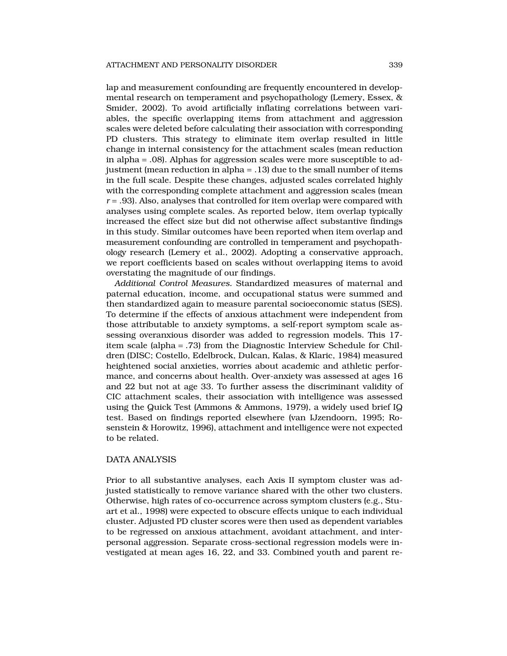lap and measurement confounding are frequently encountered in developmental research on temperament and psychopathology (Lemery, Essex, & Smider, 2002). To avoid artificially inflating correlations between variables, the specific overlapping items from attachment and aggression scales were deleted before calculating their association with corresponding PD clusters. This strategy to eliminate item overlap resulted in little change in internal consistency for the attachment scales (mean reduction in alpha = .08). Alphas for aggression scales were more susceptible to adjustment (mean reduction in alpha = .13) due to the small number of items in the full scale. Despite these changes, adjusted scales correlated highly with the corresponding complete attachment and aggression scales (mean *r* = .93). Also, analyses that controlled for item overlap were compared with analyses using complete scales. As reported below, item overlap typically increased the effect size but did not otherwise affect substantive findings in this study. Similar outcomes have been reported when item overlap and measurement confounding are controlled in temperament and psychopathology research (Lemery et al., 2002). Adopting a conservative approach, we report coefficients based on scales without overlapping items to avoid overstating the magnitude of our findings.

*Additional Control Measures.* Standardized measures of maternal and paternal education, income, and occupational status were summed and then standardized again to measure parental socioeconomic status (SES). To determine if the effects of anxious attachment were independent from those attributable to anxiety symptoms, a self-report symptom scale assessing overanxious disorder was added to regression models. This 17 item scale (alpha = .73) from the Diagnostic Interview Schedule for Children (DISC; Costello, Edelbrock, Dulcan, Kalas, & Klaric, 1984) measured heightened social anxieties, worries about academic and athletic performance, and concerns about health. Over-anxiety was assessed at ages 16 and 22 but not at age 33. To further assess the discriminant validity of CIC attachment scales, their association with intelligence was assessed using the Quick Test (Ammons & Ammons, 1979), a widely used brief IQ test. Based on findings reported elsewhere (van IJzendoorn, 1995; Rosenstein & Horowitz, 1996), attachment and intelligence were not expected to be related.

## DATA ANALYSIS

Prior to all substantive analyses, each Axis II symptom cluster was adjusted statistically to remove variance shared with the other two clusters. Otherwise, high rates of co-occurrence across symptom clusters (e.g., Stuart et al., 1998) were expected to obscure effects unique to each individual cluster. Adjusted PD cluster scores were then used as dependent variables to be regressed on anxious attachment, avoidant attachment, and interpersonal aggression. Separate cross-sectional regression models were investigated at mean ages 16, 22, and 33. Combined youth and parent re-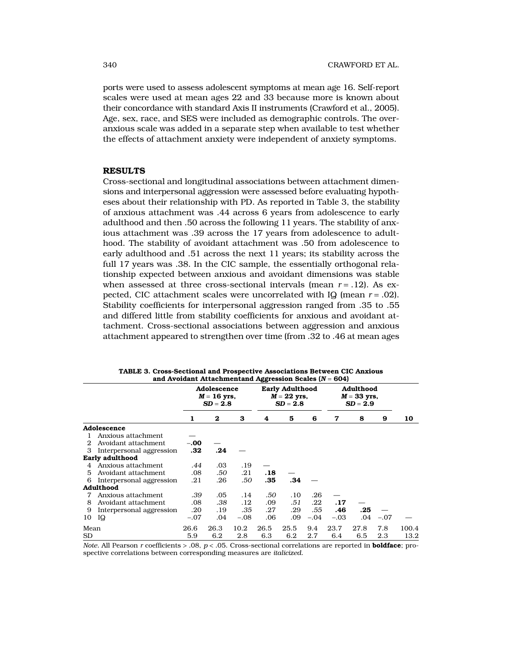ports were used to assess adolescent symptoms at mean age 16. Self-report scales were used at mean ages 22 and 33 because more is known about their concordance with standard Axis II instruments (Crawford et al., 2005). Age, sex, race, and SES were included as demographic controls. The overanxious scale was added in a separate step when available to test whether the effects of attachment anxiety were independent of anxiety symptoms.

### **RESULTS**

Cross-sectional and longitudinal associations between attachment dimensions and interpersonal aggression were assessed before evaluating hypotheses about their relationship with PD. As reported in Table 3, the stability of anxious attachment was .44 across 6 years from adolescence to early adulthood and then .50 across the following 11 years. The stability of anxious attachment was .39 across the 17 years from adolescence to adulthood. The stability of avoidant attachment was .50 from adolescence to early adulthood and .51 across the next 11 years; its stability across the full 17 years was .38. In the CIC sample, the essentially orthogonal relationship expected between anxious and avoidant dimensions was stable when assessed at three cross-sectional intervals (mean  $r = .12$ ). As expected, CIC attachment scales were uncorrelated with IQ (mean *r* = .02). Stability coefficients for interpersonal aggression ranged from .35 to .55 and differed little from stability coefficients for anxious and avoidant attachment. Cross-sectional associations between aggression and anxious attachment appeared to strengthen over time (from .32 to .46 at mean ages

|      | and Avoidant Attachmentand Aggression Scales (N = 604) |                                            |          |        |                                                       |      |        |                                          |      |        |       |  |  |
|------|--------------------------------------------------------|--------------------------------------------|----------|--------|-------------------------------------------------------|------|--------|------------------------------------------|------|--------|-------|--|--|
|      |                                                        | Adolescence<br>$M = 16$ yrs,<br>$SD = 2.8$ |          |        | <b>Early Adulthood</b><br>$M = 22$ yrs,<br>$SD = 2.8$ |      |        | Adulthood<br>$M = 33$ yrs,<br>$SD = 2.9$ |      |        |       |  |  |
|      |                                                        | 1                                          | $\bf{2}$ | 3      | 4                                                     | 5    | 6      | 7                                        | 8    | 9      | 10    |  |  |
|      | Adolescence                                            |                                            |          |        |                                                       |      |        |                                          |      |        |       |  |  |
|      | Anxious attachment                                     |                                            |          |        |                                                       |      |        |                                          |      |        |       |  |  |
| 2.   | Avoidant attachment                                    | $-.00$                                     |          |        |                                                       |      |        |                                          |      |        |       |  |  |
| 3    | Interpersonal aggression                               | .32                                        | .24      |        |                                                       |      |        |                                          |      |        |       |  |  |
|      | Early adulthood                                        |                                            |          |        |                                                       |      |        |                                          |      |        |       |  |  |
|      | Anxious attachment                                     | .44                                        | .03      | .19    |                                                       |      |        |                                          |      |        |       |  |  |
| 5    | Avoidant attachment                                    | .08                                        | .50      | .21    | .18                                                   |      |        |                                          |      |        |       |  |  |
| 6    | Interpersonal aggression                               | .21                                        | .26      | .50    | .35                                                   | .34  |        |                                          |      |        |       |  |  |
|      | Adulthood                                              |                                            |          |        |                                                       |      |        |                                          |      |        |       |  |  |
| 7    | Anxious attachment                                     | .39                                        | .05      | .14    | .50                                                   | .10  | .26    |                                          |      |        |       |  |  |
| 8    | Avoidant attachment                                    | .08                                        | .38      | .12    | .09                                                   | .51  | .22    | .17                                      |      |        |       |  |  |
| 9    | Interpersonal aggression                               | .20                                        | .19      | .35    | .27                                                   | .29  | .55    | .46                                      | .25  |        |       |  |  |
| 10   | IQ                                                     | $-.07$                                     | .04      | $-.08$ | .06                                                   | .09  | $-.04$ | $-.03$                                   | .04  | $-.07$ |       |  |  |
| Mean |                                                        | 26.6                                       | 26.3     | 10.2   | 26.5                                                  | 25.5 | 9.4    | 23.7                                     | 27.8 | 7.8    | 100.4 |  |  |
| SD   |                                                        | 5.9                                        | 6.2      | 2.8    | 6.3                                                   | 6.2  | 2.7    | 6.4                                      | 6.5  | 2.3    | 13.2  |  |  |

**TABLE 3. Cross-Sectional and Prospective Associations Between CIC Anxious and Avoidant Attachmentand Aggression Scales (***N* = **604)**

*Note.* All Pearson *r* coefficients > .08, *p* < .05. Cross-sectional correlations are reported in **boldface**; prospective correlations between corresponding measures are *italicized*.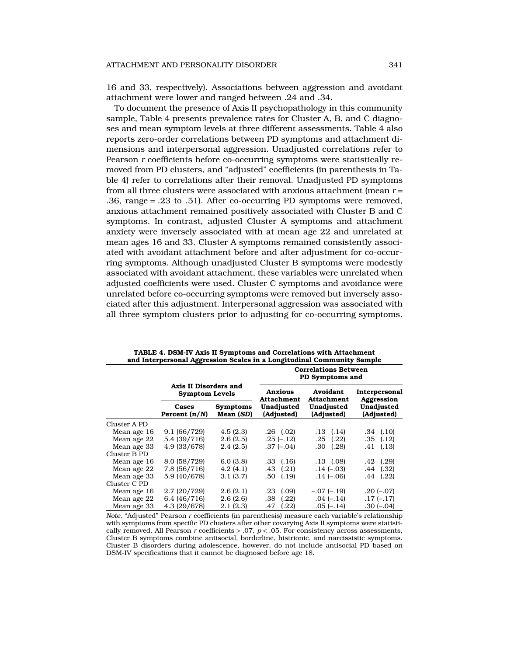16 and 33, respectively). Associations between aggression and avoidant attachment were lower and ranged between .24 and .34.

To document the presence of Axis II psychopathology in this community sample, Table 4 presents prevalence rates for Cluster A, B, and C diagnoses and mean symptom levels at three different assessments. Table 4 also reports zero-order correlations between PD symptoms and attachment dimensions and interpersonal aggression. Unadjusted correlations refer to Pearson *r* coefficients before co-occurring symptoms were statistically removed from PD clusters, and "adjusted" coefficients (in parenthesis in Table 4) refer to correlations after their removal. Unadjusted PD symptoms from all three clusters were associated with anxious attachment (mean *r* = .36, range = .23 to .51). After co-occurring PD symptoms were removed, anxious attachment remained positively associated with Cluster B and C symptoms. In contrast, adjusted Cluster A symptoms and attachment anxiety were inversely associated with at mean age 22 and unrelated at mean ages 16 and 33. Cluster A symptoms remained consistently associated with avoidant attachment before and after adjustment for co-occurring symptoms. Although unadjusted Cluster B symptoms were modestly associated with avoidant attachment, these variables were unrelated when adjusted coefficients were used. Cluster C symptoms and avoidance were unrelated before co-occurring symptoms were removed but inversely associated after this adjustment. Interpersonal aggression was associated with all three symptom clusters prior to adjusting for co-occurring symptoms.

|              |                                                |                              | <b>Correlations Between</b><br>PD Symptoms and |                               |                             |  |  |  |  |
|--------------|------------------------------------------------|------------------------------|------------------------------------------------|-------------------------------|-----------------------------|--|--|--|--|
|              | Axis II Disorders and<br><b>Symptom Levels</b> |                              | <b>Anxious</b><br>Attachment                   | <b>Avoidant</b><br>Attachment | Interpersonal<br>Aggression |  |  |  |  |
|              | Cases<br>Percent $(n/N)$                       | <b>Symptoms</b><br>Mean (SD) | Unadjusted<br>(Adjusted)                       | Unadjusted<br>(Adjusted)      | Unadjusted<br>(Adjusted)    |  |  |  |  |
| Cluster A PD |                                                |                              |                                                |                               |                             |  |  |  |  |
| Mean age 16  | 9.1(66/729)                                    | 4.5(2.3)                     | $.26$ $(.02)$                                  | .13(14)                       | $.34 \quad (.10)$           |  |  |  |  |
| Mean age 22  | 5.4 (39/716)                                   | 2.6(2.5)                     | $.25(-.12)$                                    | $.25$ $(.22)$                 | $.35$ $(.12)$               |  |  |  |  |
| Mean age 33  | 4.9 (33/678)                                   | 2.4(2.5)                     | $.37(-.04)$                                    | (.28)<br>.30                  | (.13)<br>.41                |  |  |  |  |
| Cluster B PD |                                                |                              |                                                |                               |                             |  |  |  |  |
| Mean age 16  | 8.0 (58/729)                                   | 6.0(3.8)                     | $.33$ $(.16)$                                  | $.13 \quad (.08)$             | $.42 \quad (.29)$           |  |  |  |  |
| Mean age 22  | 7.8 (56/716)                                   | 4.2(4.1)                     | $.43$ $(.21)$                                  | $.14(-.03)$                   | .44(.32)                    |  |  |  |  |
| Mean age 33  | 5.9 (40/678)                                   | 3.1(3.7)                     | .50(.19)                                       | $.14(-.06)$                   | .44(.22)                    |  |  |  |  |
| Cluster C PD |                                                |                              |                                                |                               |                             |  |  |  |  |
| Mean age 16  | 2.7(20/729)                                    | 2.6(2.1)                     | (.09)<br>.23                                   | $-.07$ ( $-.19$ )             | $.20(-.07)$                 |  |  |  |  |
| Mean age 22  | 6.4 (46/716)                                   | 2.6(2.6)                     | (.22)<br>.38                                   | $.04(-.14)$                   | $.17(-.17)$                 |  |  |  |  |
| Mean age 33  | 4.3 (29/678)                                   | 2.1(2.3)                     | (.22)<br>.47                                   | $.05(-.14)$                   | $.30(-.04)$                 |  |  |  |  |

**TABLE 4. DSM-IV Axis II Symptoms and Correlations with Attachment and Interpersonal Aggression Scales in a Longitudinal Community Sample**

*Note*. "Adjusted" Pearson *r* coefficients (in parenthesis) measure each variable's relationship with symptoms from specific PD clusters after other covarying Axis II symptoms were statistically removed. All Pearson *r* coefficients > .07, *p* < .05. For consistency across assessments, Cluster B symptoms combine antisocial, borderline, histrionic, and narcissistic symptoms. Cluster B disorders during adolescence, however, do not include antisocial PD based on DSM-IV specifications that it cannot be diagnosed before age 18.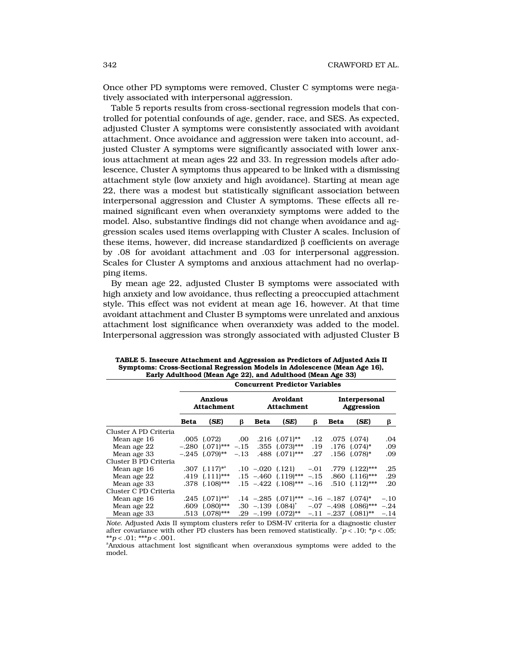Once other PD symptoms were removed, Cluster C symptoms were negatively associated with interpersonal aggression.

Table 5 reports results from cross-sectional regression models that controlled for potential confounds of age, gender, race, and SES. As expected, adjusted Cluster A symptoms were consistently associated with avoidant attachment. Once avoidance and aggression were taken into account, adjusted Cluster A symptoms were significantly associated with lower anxious attachment at mean ages 22 and 33. In regression models after adolescence, Cluster A symptoms thus appeared to be linked with a dismissing attachment style (low anxiety and high avoidance). Starting at mean age 22, there was a modest but statistically significant association between interpersonal aggression and Cluster A symptoms. These effects all remained significant even when overanxiety symptoms were added to the model. Also, substantive findings did not change when avoidance and aggression scales used items overlapping with Cluster A scales. Inclusion of these items, however, did increase standardized β coefficients on average by .08 for avoidant attachment and .03 for interpersonal aggression. Scales for Cluster A symptoms and anxious attachment had no overlapping items.

By mean age 22, adjusted Cluster B symptoms were associated with high anxiety and low avoidance, thus reflecting a preoccupied attachment style. This effect was not evident at mean age 16, however. At that time avoidant attachment and Cluster B symptoms were unrelated and anxious attachment lost significance when overanxiety was added to the model. Interpersonal aggression was strongly associated with adjusted Cluster B

|                       | <b>Concurrent Predictor Variables</b> |                                                     |        |      |                                                      |     |                             |                  |        |  |
|-----------------------|---------------------------------------|-----------------------------------------------------|--------|------|------------------------------------------------------|-----|-----------------------------|------------------|--------|--|
|                       |                                       | <b>Anxious</b><br>Attachment                        |        |      | Avoidant<br><b>Attachment</b>                        |     | Interpersonal<br>Aggression |                  |        |  |
|                       | Beta                                  | (SE)                                                | ß      | Beta | (SE)                                                 | ß   | <b>Beta</b>                 | (SE)             | β      |  |
| Cluster A PD Criteria |                                       |                                                     |        |      |                                                      |     |                             |                  |        |  |
| Mean age 16           |                                       | $.005$ $(.072)$ $.00$ $.216$ $(.071)$ <sup>**</sup> |        |      |                                                      | .12 |                             | .075 (.074)      | .04    |  |
| Mean age 22           |                                       |                                                     |        |      | $-.280$ $(.071)$ *** $-.15$ $.355$ $(.073)$ ***      | .19 |                             | $.176$ $(.074)*$ | .09    |  |
| Mean age 33           |                                       | $-.245$ $(.079)*$                                   | $-.13$ |      | $.488$ $(.071)***$                                   | .27 |                             | $.156$ $(.078)*$ | .09    |  |
| Cluster B PD Criteria |                                       |                                                     |        |      |                                                      |     |                             |                  |        |  |
| Mean age 16           |                                       | $.307$ $(.117)*$ <sup>2</sup>                       |        |      | $.10 - .020$ $(.121) - .01$                          |     |                             | .779 (.122)***   | .25    |  |
| Mean age 22           |                                       | $.419(0.111)***$                                    |        |      | $.15 - .460$ $(.119)*** - .15$                       |     |                             | $.860(116)$ ***  | .29    |  |
| Mean age 33           |                                       | $.378$ $(.108)***$                                  |        |      | $.15 - .422$ $(.108)*** - .16$                       |     |                             | $.510(112)***$   | .20    |  |
| Cluster C PD Criteria |                                       |                                                     |        |      |                                                      |     |                             |                  |        |  |
| Mean age 16           |                                       | $.245$ $(.071)$ ** <sup>a</sup>                     |        |      | $.14$ $-.285$ $(.071)$ *** $-.16$ $-.187$ $(.074)$ * |     |                             |                  | $-.10$ |  |
| Mean age 22           |                                       | $.609$ $(.080)$ ***                                 |        |      | $.30 - 139$ $(.084)^{+} -.07 - .498$ $(.086)^{***}$  |     |                             |                  | $-.24$ |  |
| Mean age 33           |                                       | $.513$ $(.078)***$                                  |        |      | $.29 - .199$ $(.072)** - .11 - .237$ $(.081)**$      |     |                             |                  | $-.14$ |  |

**TABLE 5. Insecure Attachment and Aggression as Predictors of Adjusted Axis II Symptoms: Cross-Sectional Regression Models in Adolescence (Mean Age 16), Early Adulthood (Mean Age 22), and Adulthood (Mean Age 33)**

*Note*. Adjusted Axis II symptom clusters refer to DSM-IV criteria for a diagnostic cluster after covariance with other PD clusters has been removed statistically.  $\dot{p} < .10$ ;  $\dot{p} < .05$ ;  $*$ *\*\*p* < .01; \*\*\**p* < .001.

<sup>a</sup>Anxious attachment lost significant when overanxious symptoms were added to the model.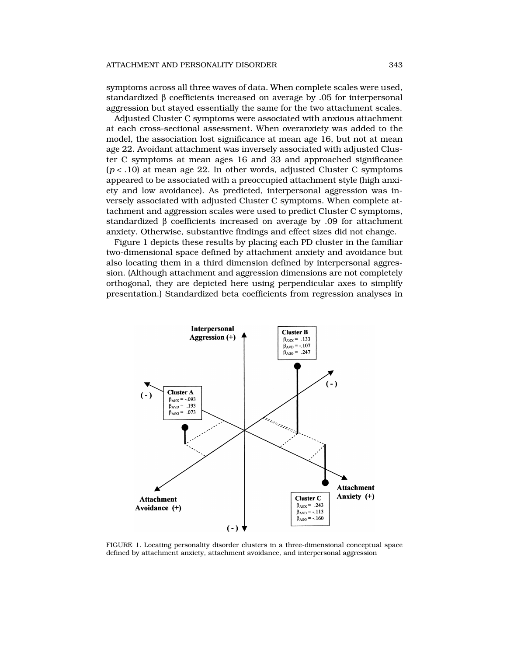symptoms across all three waves of data. When complete scales were used, standardized  $\beta$  coefficients increased on average by .05 for interpersonal aggression but stayed essentially the same for the two attachment scales.

Adjusted Cluster C symptoms were associated with anxious attachment at each cross-sectional assessment. When overanxiety was added to the model, the association lost significance at mean age 16, but not at mean age 22. Avoidant attachment was inversely associated with adjusted Cluster C symptoms at mean ages 16 and 33 and approached significance  $(p < .10)$  at mean age 22. In other words, adjusted Cluster C symptoms appeared to be associated with a preoccupied attachment style (high anxiety and low avoidance). As predicted, interpersonal aggression was inversely associated with adjusted Cluster C symptoms. When complete attachment and aggression scales were used to predict Cluster C symptoms, standardized β coefficients increased on average by .09 for attachment anxiety. Otherwise, substantive findings and effect sizes did not change.

Figure 1 depicts these results by placing each PD cluster in the familiar two-dimensional space defined by attachment anxiety and avoidance but also locating them in a third dimension defined by interpersonal aggression. (Although attachment and aggression dimensions are not completely orthogonal, they are depicted here using perpendicular axes to simplify presentation.) Standardized beta coefficients from regression analyses in



FIGURE 1. Locating personality disorder clusters in a three-dimensional conceptual space defined by attachment anxiety, attachment avoidance, and interpersonal aggression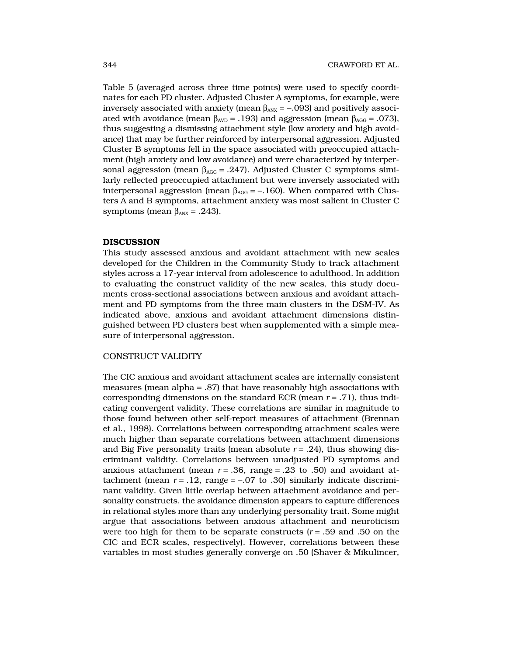Table 5 (averaged across three time points) were used to specify coordinates for each PD cluster. Adjusted Cluster A symptoms, for example, were inversely associated with anxiety (mean  $\beta_{ANX} = -.093$ ) and positively associated with avoidance (mean  $\beta_{AVD} = .193$ ) and aggression (mean  $\beta_{AGG} = .073$ ), thus suggesting a dismissing attachment style (low anxiety and high avoidance) that may be further reinforced by interpersonal aggression. Adjusted Cluster B symptoms fell in the space associated with preoccupied attachment (high anxiety and low avoidance) and were characterized by interpersonal aggression (mean  $\beta_{AGG} = .247$ ). Adjusted Cluster C symptoms similarly reflected preoccupied attachment but were inversely associated with interpersonal aggression (mean  $\beta_{AGG} = -.160$ ). When compared with Clusters A and B symptoms, attachment anxiety was most salient in Cluster C symptoms (mean  $\beta_{ANX} = .243$ ).

### **DISCUSSION**

This study assessed anxious and avoidant attachment with new scales developed for the Children in the Community Study to track attachment styles across a 17-year interval from adolescence to adulthood. In addition to evaluating the construct validity of the new scales, this study documents cross-sectional associations between anxious and avoidant attachment and PD symptoms from the three main clusters in the DSM-IV. As indicated above, anxious and avoidant attachment dimensions distinguished between PD clusters best when supplemented with a simple measure of interpersonal aggression.

## CONSTRUCT VALIDITY

The CIC anxious and avoidant attachment scales are internally consistent measures (mean alpha = .87) that have reasonably high associations with corresponding dimensions on the standard ECR (mean *r* = .71), thus indicating convergent validity. These correlations are similar in magnitude to those found between other self-report measures of attachment (Brennan et al., 1998). Correlations between corresponding attachment scales were much higher than separate correlations between attachment dimensions and Big Five personality traits (mean absolute  $r = .24$ ), thus showing discriminant validity. Correlations between unadjusted PD symptoms and anxious attachment (mean  $r = .36$ , range = .23 to .50) and avoidant attachment (mean  $r = .12$ , range =  $-.07$  to  $.30$ ) similarly indicate discriminant validity. Given little overlap between attachment avoidance and personality constructs, the avoidance dimension appears to capture differences in relational styles more than any underlying personality trait. Some might argue that associations between anxious attachment and neuroticism were too high for them to be separate constructs  $(r = .59$  and  $.50$  on the CIC and ECR scales, respectively). However, correlations between these variables in most studies generally converge on .50 (Shaver & Mikulincer,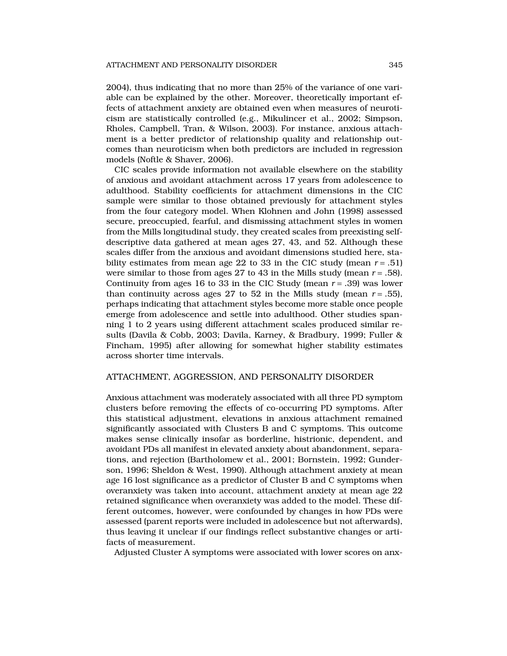2004), thus indicating that no more than 25% of the variance of one variable can be explained by the other. Moreover, theoretically important effects of attachment anxiety are obtained even when measures of neuroticism are statistically controlled (e.g., Mikulincer et al., 2002; Simpson, Rholes, Campbell, Tran, & Wilson, 2003). For instance, anxious attachment is a better predictor of relationship quality and relationship outcomes than neuroticism when both predictors are included in regression models (Noftle & Shaver, 2006).

CIC scales provide information not available elsewhere on the stability of anxious and avoidant attachment across 17 years from adolescence to adulthood. Stability coefficients for attachment dimensions in the CIC sample were similar to those obtained previously for attachment styles from the four category model. When Klohnen and John (1998) assessed secure, preoccupied, fearful, and dismissing attachment styles in women from the Mills longitudinal study, they created scales from preexisting selfdescriptive data gathered at mean ages 27, 43, and 52. Although these scales differ from the anxious and avoidant dimensions studied here, stability estimates from mean age 22 to 33 in the CIC study (mean  $r = .51$ ) were similar to those from ages 27 to 43 in the Mills study (mean  $r = .58$ ). Continuity from ages 16 to 33 in the CIC Study (mean  $r = .39$ ) was lower than continuity across ages 27 to 52 in the Mills study (mean  $r = .55$ ), perhaps indicating that attachment styles become more stable once people emerge from adolescence and settle into adulthood. Other studies spanning 1 to 2 years using different attachment scales produced similar results (Davila & Cobb, 2003; Davila, Karney, & Bradbury, 1999; Fuller & Fincham, 1995) after allowing for somewhat higher stability estimates across shorter time intervals.

## ATTACHMENT, AGGRESSION, AND PERSONALITY DISORDER

Anxious attachment was moderately associated with all three PD symptom clusters before removing the effects of co-occurring PD symptoms. After this statistical adjustment, elevations in anxious attachment remained significantly associated with Clusters B and C symptoms. This outcome makes sense clinically insofar as borderline, histrionic, dependent, and avoidant PDs all manifest in elevated anxiety about abandonment, separations, and rejection (Bartholomew et al., 2001; Bornstein, 1992; Gunderson, 1996; Sheldon & West, 1990). Although attachment anxiety at mean age 16 lost significance as a predictor of Cluster B and C symptoms when overanxiety was taken into account, attachment anxiety at mean age 22 retained significance when overanxiety was added to the model. These different outcomes, however, were confounded by changes in how PDs were assessed (parent reports were included in adolescence but not afterwards), thus leaving it unclear if our findings reflect substantive changes or artifacts of measurement.

Adjusted Cluster A symptoms were associated with lower scores on anx-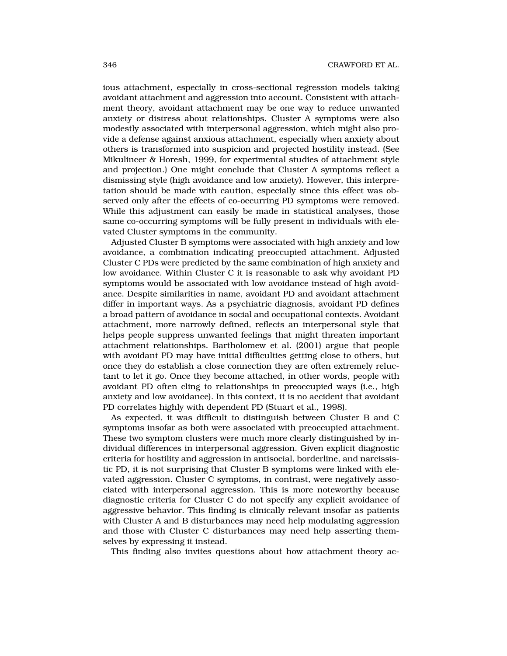ious attachment, especially in cross-sectional regression models taking avoidant attachment and aggression into account. Consistent with attachment theory, avoidant attachment may be one way to reduce unwanted anxiety or distress about relationships. Cluster A symptoms were also modestly associated with interpersonal aggression, which might also provide a defense against anxious attachment, especially when anxiety about others is transformed into suspicion and projected hostility instead. (See Mikulincer & Horesh, 1999, for experimental studies of attachment style and projection.) One might conclude that Cluster A symptoms reflect a dismissing style (high avoidance and low anxiety). However, this interpretation should be made with caution, especially since this effect was observed only after the effects of co-occurring PD symptoms were removed. While this adjustment can easily be made in statistical analyses, those same co-occurring symptoms will be fully present in individuals with elevated Cluster symptoms in the community.

Adjusted Cluster B symptoms were associated with high anxiety and low avoidance, a combination indicating preoccupied attachment. Adjusted Cluster C PDs were predicted by the same combination of high anxiety and low avoidance. Within Cluster C it is reasonable to ask why avoidant PD symptoms would be associated with low avoidance instead of high avoidance. Despite similarities in name, avoidant PD and avoidant attachment differ in important ways. As a psychiatric diagnosis, avoidant PD defines a broad pattern of avoidance in social and occupational contexts. Avoidant attachment, more narrowly defined, reflects an interpersonal style that helps people suppress unwanted feelings that might threaten important attachment relationships. Bartholomew et al. (2001) argue that people with avoidant PD may have initial difficulties getting close to others, but once they do establish a close connection they are often extremely reluctant to let it go. Once they become attached, in other words, people with avoidant PD often cling to relationships in preoccupied ways (i.e., high anxiety and low avoidance). In this context, it is no accident that avoidant PD correlates highly with dependent PD (Stuart et al., 1998).

As expected, it was difficult to distinguish between Cluster B and C symptoms insofar as both were associated with preoccupied attachment. These two symptom clusters were much more clearly distinguished by individual differences in interpersonal aggression. Given explicit diagnostic criteria for hostility and aggression in antisocial, borderline, and narcissistic PD, it is not surprising that Cluster B symptoms were linked with elevated aggression. Cluster C symptoms, in contrast, were negatively associated with interpersonal aggression. This is more noteworthy because diagnostic criteria for Cluster C do not specify any explicit avoidance of aggressive behavior. This finding is clinically relevant insofar as patients with Cluster A and B disturbances may need help modulating aggression and those with Cluster C disturbances may need help asserting themselves by expressing it instead.

This finding also invites questions about how attachment theory ac-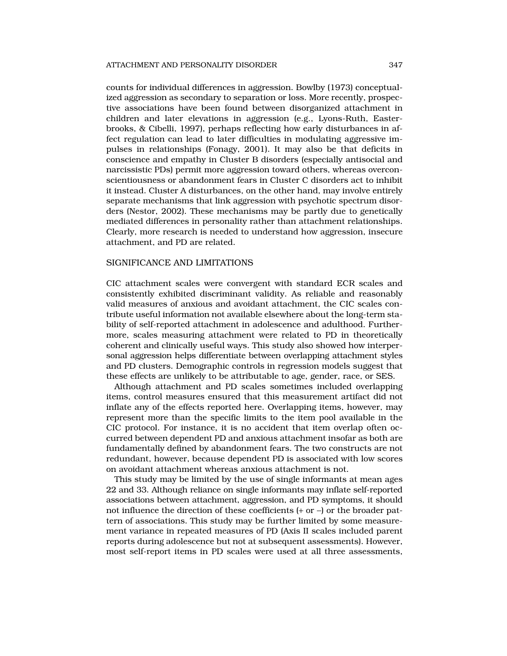counts for individual differences in aggression. Bowlby (1973) conceptualized aggression as secondary to separation or loss. More recently, prospective associations have been found between disorganized attachment in children and later elevations in aggression (e.g., Lyons-Ruth, Easterbrooks, & Cibelli, 1997), perhaps reflecting how early disturbances in affect regulation can lead to later difficulties in modulating aggressive impulses in relationships (Fonagy, 2001). It may also be that deficits in conscience and empathy in Cluster B disorders (especially antisocial and narcissistic PDs) permit more aggression toward others, whereas overconscientiousness or abandonment fears in Cluster C disorders act to inhibit it instead. Cluster A disturbances, on the other hand, may involve entirely separate mechanisms that link aggression with psychotic spectrum disorders (Nestor, 2002). These mechanisms may be partly due to genetically mediated differences in personality rather than attachment relationships. Clearly, more research is needed to understand how aggression, insecure attachment, and PD are related.

### SIGNIFICANCE AND LIMITATIONS

CIC attachment scales were convergent with standard ECR scales and consistently exhibited discriminant validity. As reliable and reasonably valid measures of anxious and avoidant attachment, the CIC scales contribute useful information not available elsewhere about the long-term stability of self-reported attachment in adolescence and adulthood. Furthermore, scales measuring attachment were related to PD in theoretically coherent and clinically useful ways. This study also showed how interpersonal aggression helps differentiate between overlapping attachment styles and PD clusters. Demographic controls in regression models suggest that these effects are unlikely to be attributable to age, gender, race, or SES.

Although attachment and PD scales sometimes included overlapping items, control measures ensured that this measurement artifact did not inflate any of the effects reported here. Overlapping items, however, may represent more than the specific limits to the item pool available in the CIC protocol. For instance, it is no accident that item overlap often occurred between dependent PD and anxious attachment insofar as both are fundamentally defined by abandonment fears. The two constructs are not redundant, however, because dependent PD is associated with low scores on avoidant attachment whereas anxious attachment is not.

This study may be limited by the use of single informants at mean ages 22 and 33. Although reliance on single informants may inflate self-reported associations between attachment, aggression, and PD symptoms, it should not influence the direction of these coefficients (+ or −) or the broader pattern of associations. This study may be further limited by some measurement variance in repeated measures of PD (Axis II scales included parent reports during adolescence but not at subsequent assessments). However, most self-report items in PD scales were used at all three assessments,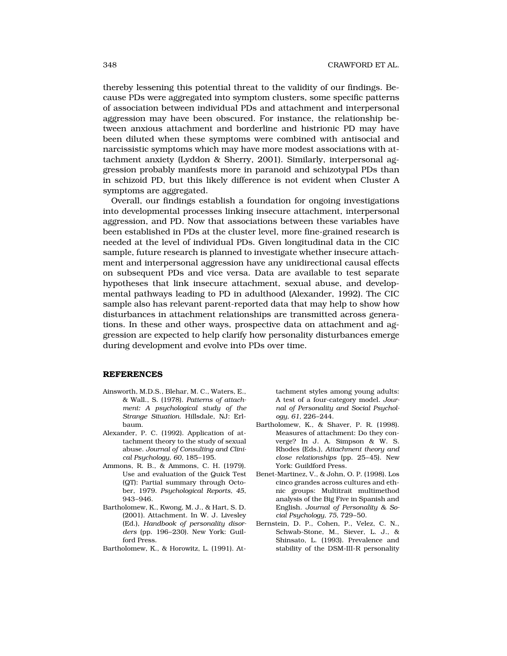thereby lessening this potential threat to the validity of our findings. Because PDs were aggregated into symptom clusters, some specific patterns of association between individual PDs and attachment and interpersonal aggression may have been obscured. For instance, the relationship between anxious attachment and borderline and histrionic PD may have been diluted when these symptoms were combined with antisocial and narcissistic symptoms which may have more modest associations with attachment anxiety (Lyddon & Sherry, 2001). Similarly, interpersonal aggression probably manifests more in paranoid and schizotypal PDs than in schizoid PD, but this likely difference is not evident when Cluster A symptoms are aggregated.

Overall, our findings establish a foundation for ongoing investigations into developmental processes linking insecure attachment, interpersonal aggression, and PD. Now that associations between these variables have been established in PDs at the cluster level, more fine-grained research is needed at the level of individual PDs. Given longitudinal data in the CIC sample, future research is planned to investigate whether insecure attachment and interpersonal aggression have any unidirectional causal effects on subsequent PDs and vice versa. Data are available to test separate hypotheses that link insecure attachment, sexual abuse, and developmental pathways leading to PD in adulthood (Alexander, 1992). The CIC sample also has relevant parent-reported data that may help to show how disturbances in attachment relationships are transmitted across generations. In these and other ways, prospective data on attachment and aggression are expected to help clarify how personality disturbances emerge during development and evolve into PDs over time.

## **REFERENCES**

- Ainsworth, M.D.S., Blehar, M. C., Waters, E., tachment styles among young adults: & Wall., S. (1978). *Patterns of attach-* A test of a four-category model. *Jourment: A psychological study of the nal of Personality and Social Psychol-Strange Situation.* Hillsdale, NJ: Erlbaum. Bartholomew, K., & Shaver, P. R. (1998).
- 
- Ammons, R. B., & Ammons, C. H. (1979). York: Guildford Press.
- (2001). Attachment. In W. J. Livesley *cial Psychology, 75,* 729–50.
- 

- Alexander, P. C. (1992). Application of at- Measures of attachment: Do they contachment theory to the study of sexual verge? In J. A. Simpson & W. S. abuse. *Journal of Consulting and Clini-* Rhodes (Eds.), *Attachment theory and cal Psychology, 60,* 185–195. *close relationships* (pp. 25–45). New
- Use and evaluation of the Quick Test Benet-Martinez, V., & John, O. P. (1998). Los (QT): Partial summary through Octo- cinco grandes across cultures and ethber, 1979. *Psychological Reports, 45*, nic groups: Multitrait multimethod 943–946. analysis of the Big Five in Spanish and Bartholomew, K., Kwong, M. J., & Hart, S. D. English. *Journal of Personality & So-*
- (Ed.), *Handbook of personality disor-* Bernstein, D. P., Cohen, P., Velez, C. N., Schwab-Stone, M., Siever, L. J., & ford Press. Shinsato, L. (1993). Prevalence and Bartholomew, K., & Horowitz, L. (1991). At- stability of the DSM-III-R personality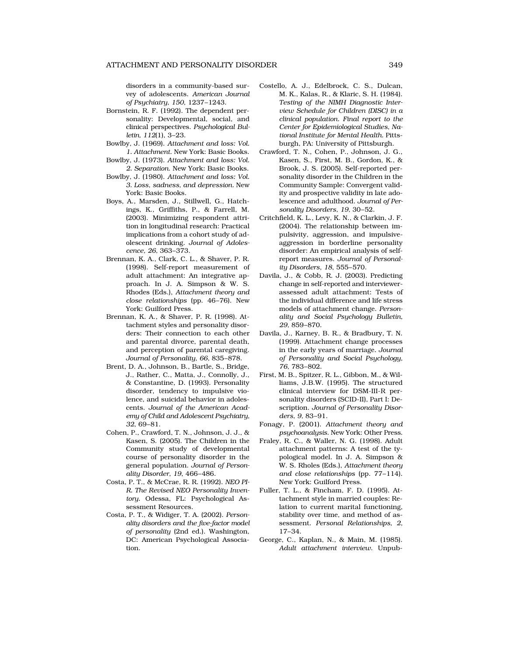- sonality: Developmental, social, and
- Bowlby, J. (1969). *Attachment and loss: Vol.* burgh, PA: University of Pittsburgh. *1. Attachment*. New York: Basic Books. Crawford, T. N., Cohen, P., Johnson, J. G.,
- 
- Bowlby, J. (1980). *Attachment and loss: Vol.* sonality disorder in the Children in the
- ings, K., Griffiths, P., & Farrell, M. *sonality Disorders, 19,* 30–52.
- (1998). Self-report measurement of *ity Disorders, 18*, 555–570. *close relationships* (pp. 46-76). New
- tachment styles and personality disor- *29,* 859–870.
- Brent, D. A., Johnson, B., Bartle, S., Bridge, *76*, 783–802. J., Rather, C., Matta, J., Connolly, J., First, M. B., Spitzer, R. L., Gibbon, M., & Wil *emy of Child and Adolescent Psychiatry, ders, 9,* 83–91. *32*, 69–81. Fonagy, P. (2001). *Attachment theory and*
- Kasen, S. (2005). The Children in the Fraley, R. C., & Waller, N. G. (1998). Adult
- Costa, P. T., & McCrae, R. R. (1992). *NEO PI-* New York: Guilford Press. *R. The Revised NEO Personality Inven-* Fuller, T. L., & Fincham, F. D. (1995). At-
- *ality disorders and the five-factor model of personality* (2nd ed.). Washington, 17–34.
- disorders in a community-based sur- Costello, A. J., Edelbrock, C. S., Dulcan, vey of adolescents. *American Journal* M. K., Kalas, R., & Klaric, S. H. (1984). *of Psychiatry, 150*, 1237–1243. *Testing of the NIMH Diagnostic Inter-*Bornstein, R. F. (1992). The dependent per- *view Schedule for Children (DISC) in a* clinical perspectives. *Psychological Bul- Center for Epidemiological Studies, Naletin, 112*(1), 3–23. *tional Institute for Mental Health.* Pitts-
- Bowlby, J. (1973). *Attachment and loss: Vol.* Kasen, S., First, M. B., Gordon, K., & 2. Separation. New York: Basic Books. Brook, J. S. (2005). Self-reported per-*3. Loss, sadness, and depression.* New Community Sample: Convergent valid-York: Basic Books.  $\hfill$  ity and prospective validity in late ado-Boys, A., Marsden, J., Stillwell, G., Hatch- lescence and adulthood. *Journal of Per-*
- (2003). Minimizing respondent attri- Critchfield, K. L., Levy, K. N., & Clarkin, J. F. tion in longitudinal research: Practical (2004). The relationship between imimplications from a cohort study of ad- pulsivity, aggression, and impulsiveolescent drinking. *Journal of Adoles-* aggression in borderline personality *cence, 26,* 363–373. disorder: An empirical analysis of self-Brennan, K. A., Clark, C. L., & Shaver, P. R. report measures. *Journal of Personal-*
- adult attachment: An integrative ap- Davila, J., & Cobb, R. J. (2003). Predicting proach. In J. A. Simpson & W. S. change in self-reported and interviewer-Rhodes (Eds.), *Attachment theory and* assessed adult attachment: Tests of close relationships (pp. 46–76). New the individual difference and life stress York: Guilford Press. models of attachment change. *Person-*Brennan, K. A., & Shaver, P. R. (1998). At- *ality and Social Psychology Bulletin,*
	- ders: Their connection to each other Davila, J., Karney, B. R., & Bradbury, T. N.<br>and parental divorce, parental death, (1999). Attachment change processes (1999). Attachment change processes and perception of parental caregiving. in the early years of marriage. *Journal Journal of Personality, 66,* 835–878. *of Personality and Social Psychology,*
	- & Constantine, D. (1993). Personality liams, J.B.W. (1995). The structured disorder, tendency to impulsive vio- clinical interview for DSM-III-R perlence, and suicidal behavior in adoles- sonality disorders (SCID-II), Part I: Decents. *Journal of the American Acad-* scription. *Journal of Personality Disor-*
- Cohen, P., Crawford, T. N., Johnson, J. J., & *psychoanalysis.* New York: Other Press.
	- Community study of developmental attachment patterns: A test of the tycourse of personality disorder in the pological model. In J. A. Simpson & general population. *Journal of Person-* W. S. Rholes (Eds.), *Attachment theory ality Disorder, 19*, 466–486. *and close relationships* (pp. 77–114).
- *tory.* Odessa, FL: Psychological As- tachment style in married couples: Resessment Resources. lation to current marital functioning, Costa, P. T., & Widiger, T. A. (2002). *Person-* stability over time, and method of as-
	- DC: American Psychological Associa- George, C., Kaplan, N., & Main, M. (1985). tion. *Adult attachment interview*. Unpub-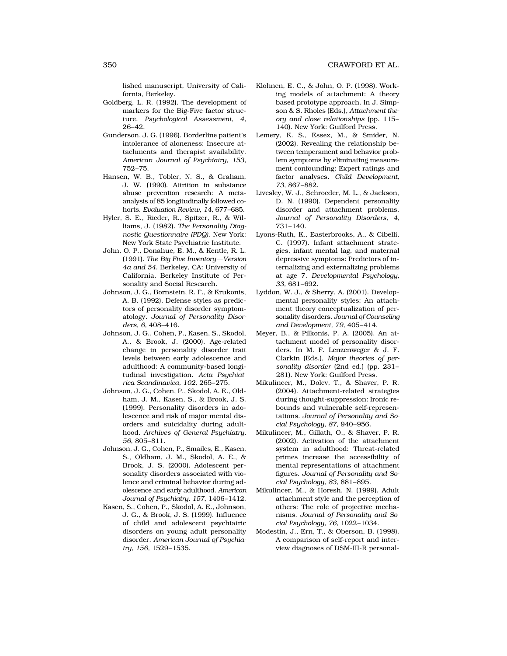- ture. *Psychological Assessment, 4, 26-42.*
- Gunderson, J. G. (1996). Borderline patient's Lemery, K. S., Essex, M., & Smider, N.
- J. W. (1990). Attrition in substance *73,* 867–882. abuse prevention research: A meta- Livesley, W. J., Schroeder, M. L., & Jackson,
- Hyler, S. E., Rieder, R., Spitzer, R., & Williams, J. (1982). *The Personality Diag-* 731–140. *nostic Questionnaire (PDQ)*. New York: Lyons-Ruth, K., Easterbrooks, A., & Cibelli,
- sonality and Social Research. *33,* 681–692.
- Johnson, J. G., Bornstein, R. F., & Krukonis, Lyddon, W. J., & Sherry, A. (2001). Develop*ders, 6,* 408–416. *and Development, 79,* 405–414.
- Johnson, J. G., Cohen, P., Kasen, S., Skodol, Meyer, B., & Pilkonis, P. A. (2005). An attudinal investigation. *Acta Psychiat-*<br>rica Scandinavica, 102, 265-275.
- orders and suicidality during adult- *cial Psychology, 87*, 940–956.
- lence and criminal behavior during ad- *cial Psychology, 83,* 881–895. olescence and early adulthood. *American* Mikulincer, M., & Horesh, N. (1999). Adult
- of child and adolescent psychiatric disorders on young adult personality Modestin, J., Ern, T., & Oberson, B. (1998).
- lished manuscript, University of Cali- Klohnen, E. C., & John, O. P. (1998). Workfornia, Berkeley. ing models of attachment: A theory Goldberg, L. R. (1992). The development of based prototype approach. In J. Simpmarkers for the Big-Five factor struc-<br>ture. *Psychological Assessment*, 4, ory and close relationships (pp. 115– 140). New York: Guilford Press.
- intolerance of aloneness: Insecure at- (2002). Revealing the relationship betachments and therapist availability. tween temperament and behavior prob-*American Journal of Psychiatry, 153,* lem symptoms by eliminating measure-752–75. ment confounding: Expert ratings and Hansen, W. B., Tobler, N. S., & Graham, factor analyses. *Child Development,*
	- analysis of 85 longitudinally followed co- D. N. (1990). Dependent personality horts. *Evaluation Review, 14, 677–685.* disorder and attachment problems.<br>
	5. E., Rieder, R., Spitzer, R., & Wil-<br> *Journal of Personality Disorders, 4,*
- New York State Psychiatric Institute. C. (1997). Infant attachment strate-John, O. P., Donahue, E. M., & Kentle, R. L. gies, infant mental lag, and maternal (1991). *The Big Five Inventory—Version* depressive symptoms: Predictors of in-*4a and 54.* Berkeley, CA: University of ternalizing and externalizing problems California, Berkeley Institute of Per- at age 7. *Developmental Psychology,*
	- A. B. (1992). Defense styles as predic- mental personality styles: An attachtors of personality disorder symptom- ment theory conceptualization of peratology. *Journal of Personality Disor-* sonality disorders. *Journal of Counseling*
	- A., & Brook, J. (2000). Age-related tachment model of personality disor-<br>change in personality disorder trait ders. In M. F. Lenzenweger & J. F. ders. In M. F. Lenzenweger & J. F. levels between early adolescence and Clarkin (Eds.), *Major theories of per*adulthood: A community-based longi- *sonality disorder* (2nd ed.) (pp. 231–
- *Mikulincer, M., Dolev, T., & Shaver, P. R.* Johnson, J. G., Cohen, P., Skodol, A. E., Old- (2004). Attachment-related strategies ham, J. M., Kasen, S., & Brook, J. S. during thought-suppression: Ironic re- (1999). Personality disorders in ado- bounds and vulnerable self-represenlescence and risk of major mental dis- tations. *Journal of Personality and So-*
- hood. *Archives of General Psychiatry,* Mikulincer, M., Gillath, O., & Shaver, P. R. *56*, 805–811. (2002). Activation of the attachment Johnson, J. G., Cohen, P., Smailes, E., Kasen, system in adulthood: Threat-related S., Oldham, J. M., Skodol, A. E., & primes increase the accessibility of Brook, J. S. (2000). Adolescent per- mental representations of attachment sonality disorders associated with vio- figures. *Journal of Personality and So-*
- *Journal of Psychiatry, 157*, 1406–1412. attachment style and the perception of Kasen, S., Cohen, P., Skodol, A. E., Johnson, others: The role of projective mecha-J. G., & Brook, J. S. (1999). Influence nisms. *Journal of Personality and So*
	- disorder. *American Journal of Psychia-* A comparison of self-report and inter*try, 156,* 1529–1535. view diagnoses of DSM-III-R personal-